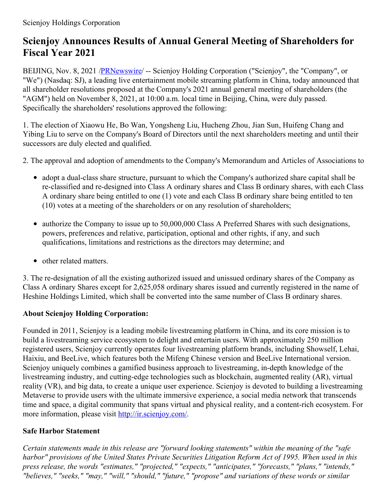## **Scienjoy Announces Results of Annual General Meeting of Shareholders for Fiscal Year 2021**

BEIJING, Nov. 8, 2021 [/PRNewswire](http://www.prnewswire.com/)/ -- Scienjoy Holding Corporation ("Scienjoy", the "Company", or "We") (Nasdaq: SJ), a leading live entertainment mobile streaming platform in China, today announced that all shareholder resolutions proposed at the Company's 2021 annual general meeting of shareholders (the "AGM") held on November 8, 2021, at 10:00 a.m. local time in Beijing, China, were duly passed. Specifically the shareholders' resolutions approved the following:

1. The election of Xiaowu He, Bo Wan, Yongsheng Liu, Hucheng Zhou, Jian Sun, Huifeng Chang and Yibing Liu to serve on the Company's Board of Directors until the next shareholders meeting and until their successors are duly elected and qualified.

- 2. The approval and adoption of amendments to the Company's Memorandum and Articles of Associations to
	- adopt a dual-class share structure, pursuant to which the Company's authorized share capital shall be re-classified and re-designed into Class A ordinary shares and Class B ordinary shares, with each Class A ordinary share being entitled to one (1) vote and each Class B ordinary share being entitled to ten (10) votes at a meeting of the shareholders or on any resolution of shareholders;
	- authorize the Company to issue up to 50,000,000 Class A Preferred Shares with such designations, powers, preferences and relative, participation, optional and other rights, if any, and such qualifications, limitations and restrictions as the directors may determine; and
	- other related matters.

3. The re-designation of all the existing authorized issued and unissued ordinary shares of the Company as Class A ordinary Shares except for 2,625,058 ordinary shares issued and currently registered in the name of Heshine Holdings Limited, which shall be converted into the same number of Class B ordinary shares.

## **About Scienjoy Holding Corporation:**

Founded in 2011, Scienjoy is a leading mobile livestreaming platform in China, and its core mission is to build a livestreaming service ecosystem to delight and entertain users. With approximately 250 million registered users, Scienjoy currently operates four livestreaming platform brands, including Showself, Lehai, Haixiu, and BeeLive, which features both the Mifeng Chinese version and BeeLive International version. Scienjoy uniquely combines a gamified business approach to livestreaming, in-depth knowledge of the livestreaming industry, and cutting-edge technologies such as blockchain, augmented reality (AR), virtual reality (VR), and big data, to create a unique user experience. Scienjoy is devoted to building a livestreaming Metaverse to provide users with the ultimate immersive experience, a social media network that transcends time and space, a digital community that spans virtual and physical reality, and a content-rich ecosystem. For more information, please visit <http://ir.scienjoy.com/>.

## **Safe Harbor Statement**

*Certain statements made in this release are "forward looking statements" within the meaning of the "safe* harbor" provisions of the United States Private Securities Litigation Reform Act of 1995. When used in this *press release, the words "estimates," "projected," "expects," "anticipates," "forecasts," "plans," "intends," "believes," "seeks," "may," "will," "should," "future," "propose" and variations of these words or similar*